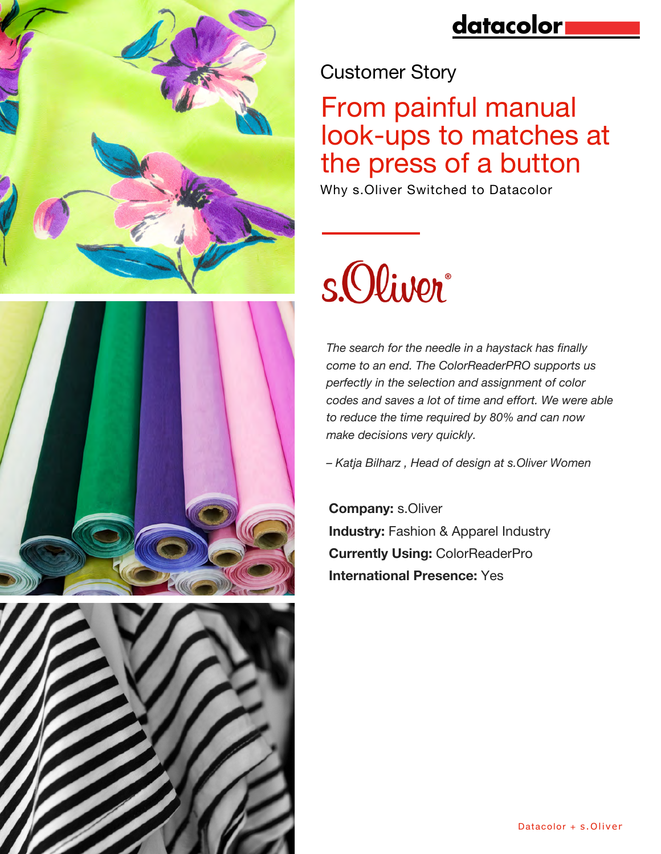





## datacolor

Customer Story

# From painful manual look-ups to matches at the press of a button

Why s.Oliver Switched to Datacolor

# s.Oliver

*The search for the needle in a haystack has finally come to an end. The ColorReaderPRO supports us perfectly in the selection and assignment of color codes and saves a lot of time and effort. We were able to reduce the time required by 80% and can now make decisions very quickly.*

*– Katja Bilharz , Head of design at s.Oliver Women*

**Company:** s.Oliver **Industry: Fashion & Apparel Industry Currently Using:** ColorReaderPro **International Presence:** Yes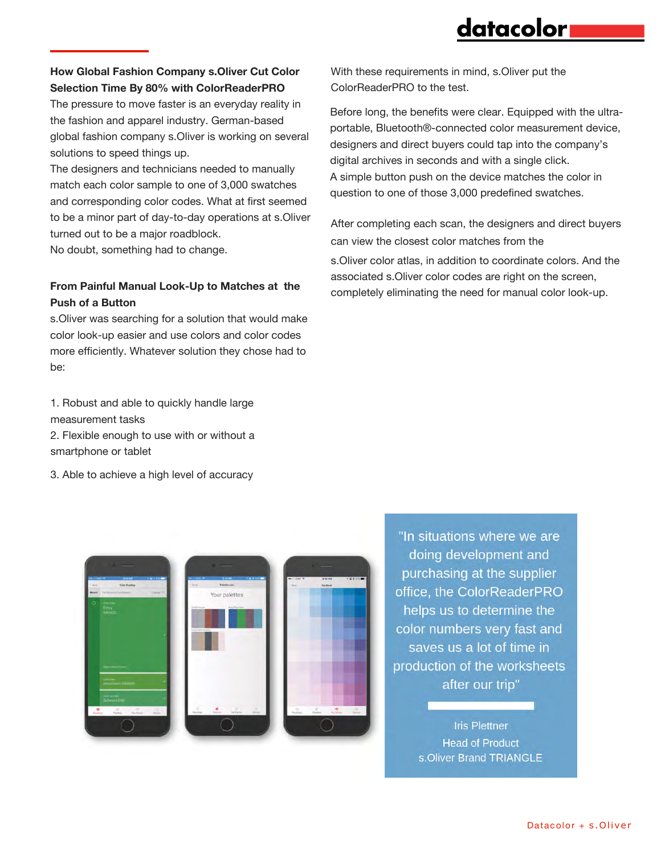### datacolor

### **How Global Fashion Company s.Oliver Cut Color Selection Time By 80% with ColorReaderPRO**

The pressure to move faster is an everyday reality in the fashion and apparel industry. German-based global fashion company s.Oliver is working on several solutions to speed things up.

The designers and technicians needed to manually match each color sample to one of 3,000 swatches and corresponding color codes. What at first seemed to be a minor part of day-to-day operations at s.Oliver turned out to be a major roadblock.

No doubt, something had to change.

### **From Painful Manual Look-Up to Matches at the Push of a Button**

s.Oliver was searching for a solution that would make color look-up easier and use colors and color codes more efficiently. Whatever solution they chose had to be:

1. Robust and able to quickly handle large measurement tasks

2. Flexible enough to use with or without a smartphone or tablet

3. Able to achieve a high level of accuracy

With these requirements in mind, s.Oliver put the ColorReaderPRO to the test.

Before long, the benefits were clear. Equipped with the ultraportable, Bluetooth®-connected color measurement device, designers and direct buyers could tap into the company's digital archives in seconds and with a single click. A simple button push on the device matches the color in question to one of those 3,000 predefined swatches.

After completing each scan, the designers and direct buyers can view the closest color matches from the

s.Oliver color atlas, in addition to coordinate colors. And the associated s.Oliver color codes are right on the screen, completely eliminating the need for manual color look-up.



"In situations where we are doing development and purchasing at the supplier office, the ColorReaderPRO helps us to determine the color numbers very fast and saves us a lot of time in production of the worksheets after our trip"

> **Iris Plettner Head of Product** s.Oliver Brand TRIANGLE